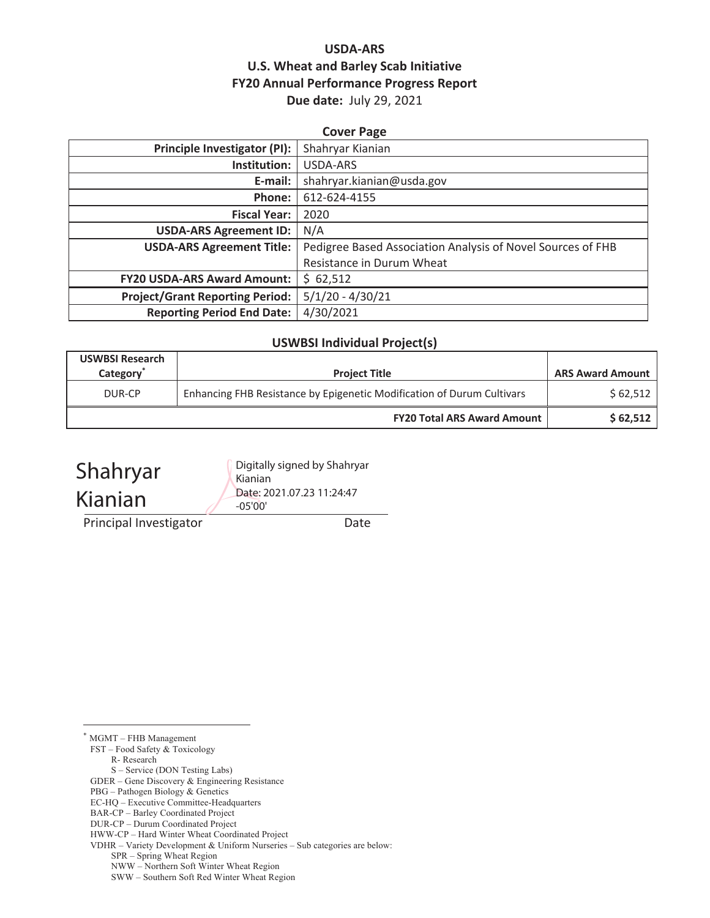## **USDA-ARS U.S. Wheat and Barley Scab Initiative FY20 Annual Performance Progress Report** Due date: July 29, 2021

| <b>Cover Page</b>                      |                                                             |  |  |
|----------------------------------------|-------------------------------------------------------------|--|--|
| Principle Investigator (PI):           | Shahryar Kianian                                            |  |  |
| Institution:                           | USDA-ARS                                                    |  |  |
| E-mail:                                | shahryar.kianian@usda.gov                                   |  |  |
| Phone:                                 | 612-624-4155                                                |  |  |
| <b>Fiscal Year:</b>                    | 2020                                                        |  |  |
| <b>USDA-ARS Agreement ID:</b>          | N/A                                                         |  |  |
| <b>USDA-ARS Agreement Title:</b>       | Pedigree Based Association Analysis of Novel Sources of FHB |  |  |
|                                        | Resistance in Durum Wheat                                   |  |  |
| <b>FY20 USDA-ARS Award Amount:</b>     | \$62,512                                                    |  |  |
| <b>Project/Grant Reporting Period:</b> | $5/1/20 - 4/30/21$                                          |  |  |
| <b>Reporting Period End Date:</b>      | 4/30/2021                                                   |  |  |

#### **USWBSI Individual Project(s)**

| <b>USWBSI Research</b><br>Category | <b>Project Title</b>                                                   | <b>ARS Award Amount</b> |
|------------------------------------|------------------------------------------------------------------------|-------------------------|
| DUR-CP                             | Enhancing FHB Resistance by Epigenetic Modification of Durum Cultivars | \$62,512                |
|                                    | <b>FY20 Total ARS Award Amount</b>                                     | \$62,512                |

| Shahryar               | Digitally signed by Shahryar<br>Kianian |  |
|------------------------|-----------------------------------------|--|
| Kianian                | Date: 2021.07.23 11:24:47<br>$-0.5'00'$ |  |
| Principal Investigator | Date                                    |  |

 $^*$  MGMT  $-$  FHB Management

FST - Food Safety & Toxicology

R-Research

S - Service (DON Testing Labs)

GDER - Gene Discovery & Engineering Resistance

PBG - Pathogen Biology & Genetics

EC-HQ - Executive Committee-Headquarters

BAR-CP - Barley Coordinated Project

DUR-CP - Durum Coordinated Project

HWW-CP - Hard Winter Wheat Coordinated Project

VDHR - Variety Development & Uniform Nurseries - Sub categories are below:

SPR - Spring Wheat Region

NWW - Northern Soft Winter Wheat Region

SWW - Southern Soft Red Winter Wheat Region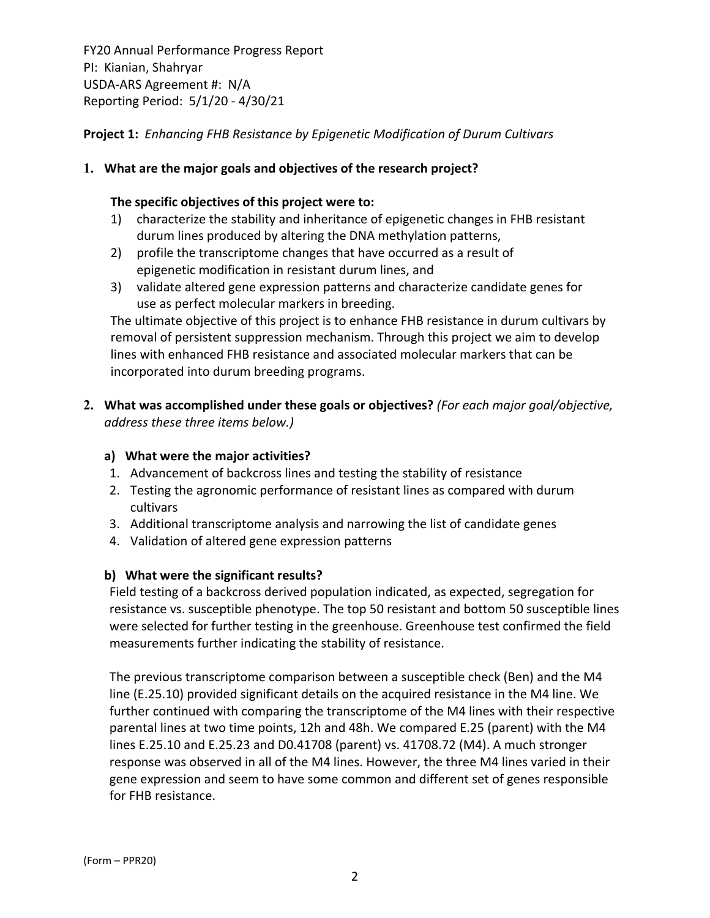**Project 1:** *Enhancing FHB Resistance by Epigenetic Modification of Durum Cultivars*

## **1. What are the major goals and objectives of the research project?**

## **The specific objectives of this project were to:**

- 1) characterize the stability and inheritance of epigenetic changes in FHB resistant durum lines produced by altering the DNA methylation patterns,
- 2) profile the transcriptome changes that have occurred as a result of epigenetic modification in resistant durum lines, and
- 3) validate altered gene expression patterns and characterize candidate genes for use as perfect molecular markers in breeding.

The ultimate objective of this project is to enhance FHB resistance in durum cultivars by removal of persistent suppression mechanism. Through this project we aim to develop lines with enhanced FHB resistance and associated molecular markers that can be incorporated into durum breeding programs.

**2. What was accomplished under these goals or objectives?** *(For each major goal/objective, address these three items below.)*

#### **a) What were the major activities?**

- 1. Advancement of backcross lines and testing the stability of resistance
- 2. Testing the agronomic performance of resistant lines as compared with durum cultivars
- 3. Additional transcriptome analysis and narrowing the list of candidate genes
- 4. Validation of altered gene expression patterns

## **b) What were the significant results?**

Field testing of a backcross derived population indicated, as expected, segregation for resistance vs. susceptible phenotype. The top 50 resistant and bottom 50 susceptible lines were selected for further testing in the greenhouse. Greenhouse test confirmed the field measurements further indicating the stability of resistance.

The previous transcriptome comparison between a susceptible check (Ben) and the M4 line (E.25.10) provided significant details on the acquired resistance in the M4 line. We further continued with comparing the transcriptome of the M4 lines with their respective parental lines at two time points, 12h and 48h. We compared E.25 (parent) with the M4 lines E.25.10 and E.25.23 and D0.41708 (parent) vs. 41708.72 (M4). A much stronger response was observed in all of the M4 lines. However, the three M4 lines varied in their gene expression and seem to have some common and different set of genes responsible for FHB resistance.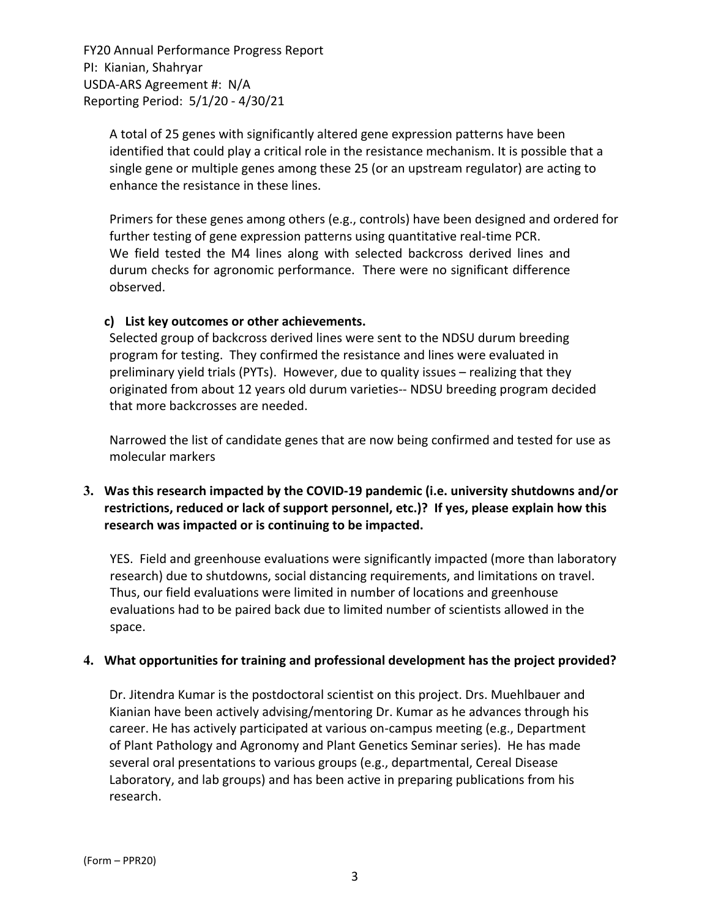> A total of 25 genes with significantly altered gene expression patterns have been identified that could play a critical role in the resistance mechanism. It is possible that a single gene or multiple genes among these 25 (or an upstream regulator) are acting to enhance the resistance in these lines.

Primers for these genes among others (e.g., controls) have been designed and ordered for further testing of gene expression patterns using quantitative real-time PCR. We field tested the M4 lines along with selected backcross derived lines and durum checks for agronomic performance. There were no significant difference observed.

#### **c) List key outcomes or other achievements.**

Selected group of backcross derived lines were sent to the NDSU durum breeding program for testing. They confirmed the resistance and lines were evaluated in preliminary yield trials (PYTs). However, due to quality issues – realizing that they originated from about 12 years old durum varieties‐‐ NDSU breeding program decided that more backcrosses are needed.

Narrowed the list of candidate genes that are now being confirmed and tested for use as molecular markers

## **3. Was this research impacted by the COVID‐19 pandemic (i.e. university shutdowns and/or restrictions, reduced or lack of support personnel, etc.)? If yes, please explain how this research was impacted or is continuing to be impacted.**

YES. Field and greenhouse evaluations were significantly impacted (more than laboratory research) due to shutdowns, social distancing requirements, and limitations on travel. Thus, our field evaluations were limited in number of locations and greenhouse evaluations had to be paired back due to limited number of scientists allowed in the space.

## **4. What opportunities for training and professional development has the project provided?**

Dr. Jitendra Kumar is the postdoctoral scientist on this project. Drs. Muehlbauer and Kianian have been actively advising/mentoring Dr. Kumar as he advances through his career. He has actively participated at various on-campus meeting (e.g., Department of Plant Pathology and Agronomy and Plant Genetics Seminar series). He has made several oral presentations to various groups (e.g., departmental, Cereal Disease Laboratory, and lab groups) and has been active in preparing publications from his research.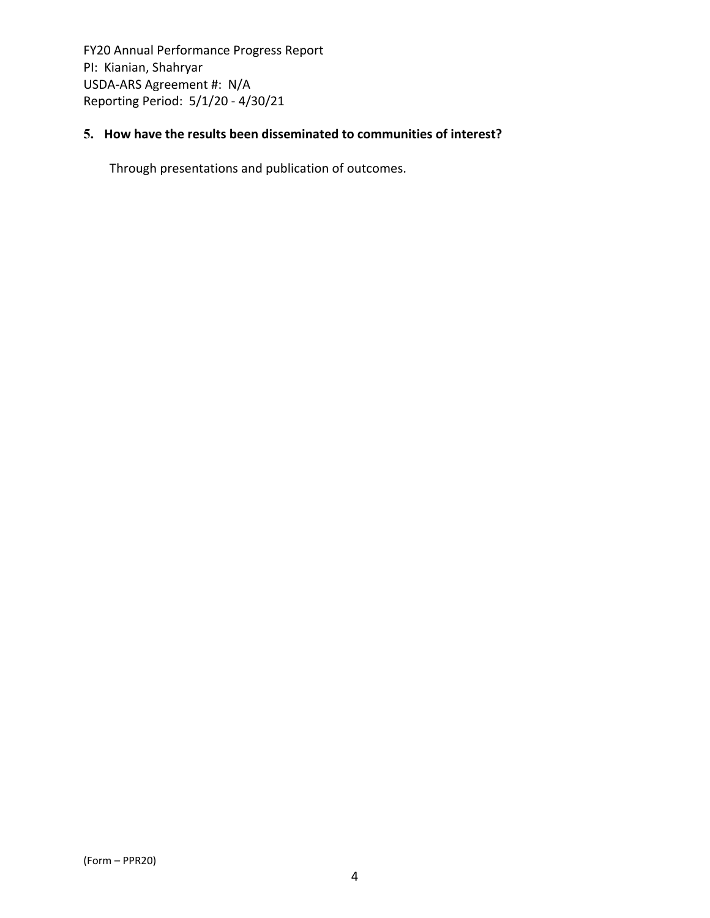# **5. How have the results been disseminated to communities of interest?**

Through presentations and publication of outcomes.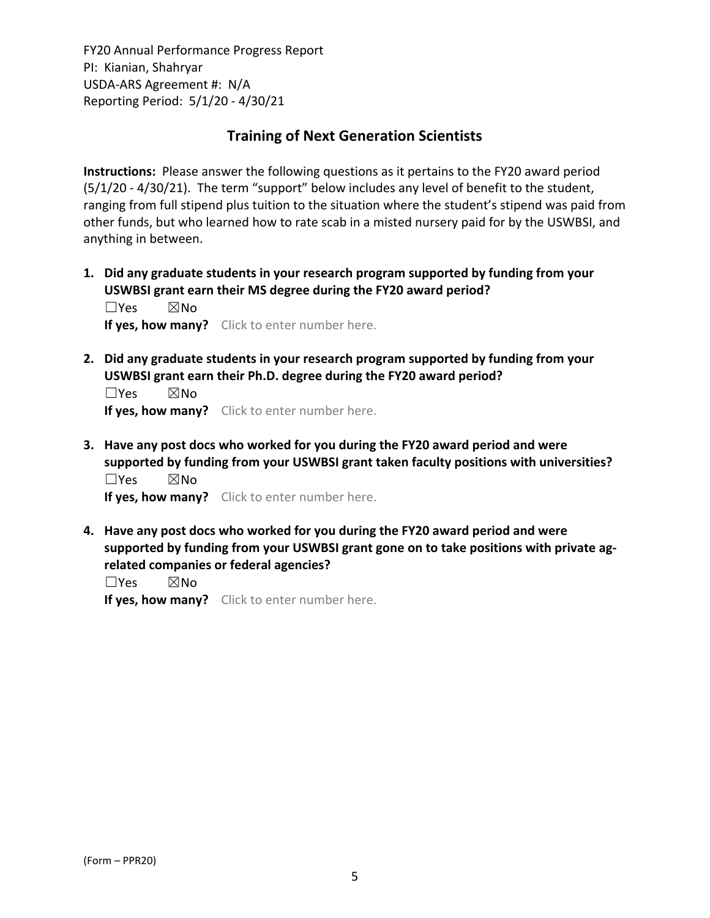# **Training of Next Generation Scientists**

**Instructions:** Please answer the following questions as it pertains to the FY20 award period (5/1/20 ‐ 4/30/21). The term "support" below includes any level of benefit to the student, ranging from full stipend plus tuition to the situation where the student's stipend was paid from other funds, but who learned how to rate scab in a misted nursery paid for by the USWBSI, and anything in between.

**1. Did any graduate students in your research program supported by funding from your USWBSI grant earn their MS degree during the FY20 award period?** ☐Yes ☒No

**If yes, how many?** Click to enter number here.

**2. Did any graduate students in your research program supported by funding from your USWBSI grant earn their Ph.D. degree during the FY20 award period?**

 $\square$ Yes  $\square$ No **If yes, how many?** Click to enter number here.

**3. Have any post docs who worked for you during the FY20 award period and were supported by funding from your USWBSI grant taken faculty positions with universities?** ☐Yes ☒No

**If yes, how many?** Click to enter number here.

**4. Have any post docs who worked for you during the FY20 award period and were supported by funding from your USWBSI grant gone on to take positions with private ag‐ related companies or federal agencies?**

☐Yes ☒No

**If yes, how many?** Click to enter number here.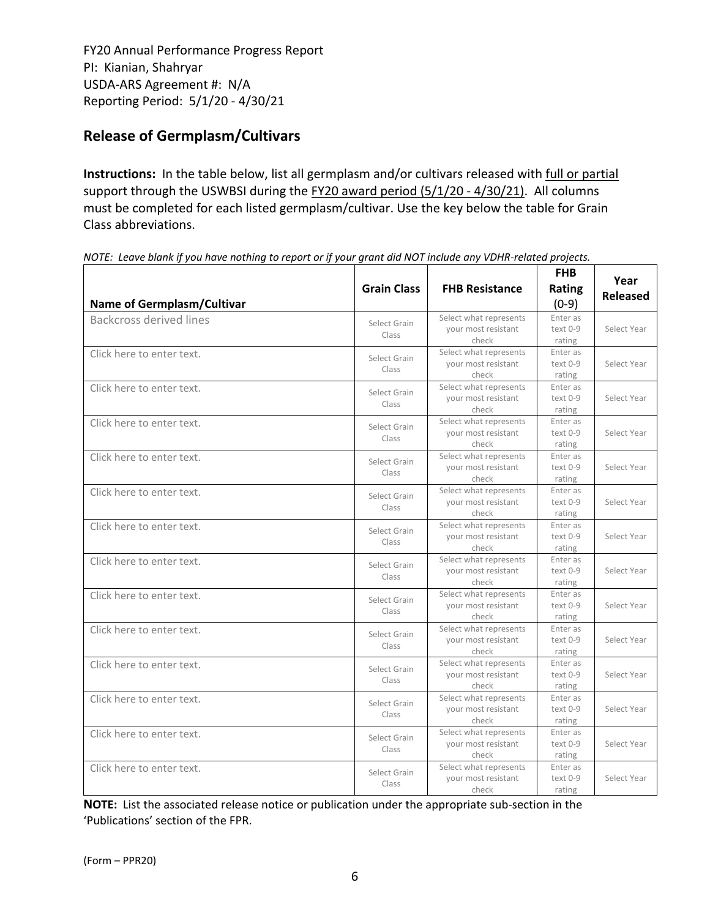# **Release of Germplasm/Cultivars**

**Instructions:** In the table below, list all germplasm and/or cultivars released with full or partial support through the USWBSI during the FY20 award period (5/1/20 - 4/30/21). All columns must be completed for each listed germplasm/cultivar. Use the key below the table for Grain Class abbreviations. 

|                                   | <b>Grain Class</b>    | <b>FHB Resistance</b>                                  | <b>FHB</b><br>Rating             | Year<br><b>Released</b> |
|-----------------------------------|-----------------------|--------------------------------------------------------|----------------------------------|-------------------------|
| <b>Name of Germplasm/Cultivar</b> |                       |                                                        | $(0-9)$                          |                         |
| <b>Backcross derived lines</b>    | Select Grain<br>Class | Select what represents<br>your most resistant<br>check | Enter as<br>$text 0-9$<br>rating | Select Year             |
| Click here to enter text.         | Select Grain<br>Class | Select what represents<br>your most resistant<br>check | Enter as<br>text 0-9<br>rating   | Select Year             |
| Click here to enter text.         | Select Grain<br>Class | Select what represents<br>your most resistant<br>check | Enter as<br>text 0-9<br>rating   | Select Year             |
| Click here to enter text.         | Select Grain<br>Class | Select what represents<br>your most resistant<br>check | Enter as<br>text 0-9<br>rating   | Select Year             |
| Click here to enter text.         | Select Grain<br>Class | Select what represents<br>your most resistant<br>check | Enter as<br>$text 0-9$<br>rating | Select Year             |
| Click here to enter text.         | Select Grain<br>Class | Select what represents<br>your most resistant<br>check | Enter as<br>text 0-9<br>rating   | Select Year             |
| Click here to enter text.         | Select Grain<br>Class | Select what represents<br>your most resistant<br>check | Enter as<br>text 0-9<br>rating   | Select Year             |
| Click here to enter text.         | Select Grain<br>Class | Select what represents<br>your most resistant<br>check | Enter as<br>text 0-9<br>rating   | Select Year             |
| Click here to enter text.         | Select Grain<br>Class | Select what represents<br>your most resistant<br>check | Enter as<br>text 0-9<br>rating   | Select Year             |
| Click here to enter text.         | Select Grain<br>Class | Select what represents<br>your most resistant<br>check | Enter as<br>$text 0-9$<br>rating | Select Year             |
| Click here to enter text.         | Select Grain<br>Class | Select what represents<br>your most resistant<br>check | Enter as<br>text 0-9<br>rating   | Select Year             |
| Click here to enter text.         | Select Grain<br>Class | Select what represents<br>your most resistant<br>check | Enter as<br>text 0-9<br>rating   | Select Year             |
| Click here to enter text.         | Select Grain<br>Class | Select what represents<br>your most resistant<br>check | Enter as<br>text 0-9<br>rating   | Select Year             |
| Click here to enter text.         | Select Grain<br>Class | Select what represents<br>your most resistant<br>check | Enter as<br>text 0-9<br>rating   | Select Year             |

NOTE: Leave blank if you have nothing to report or if your grant did NOT include any VDHR-related projects.

**NOTE:** List the associated release notice or publication under the appropriate sub-section in the 'Publications' section of the FPR.